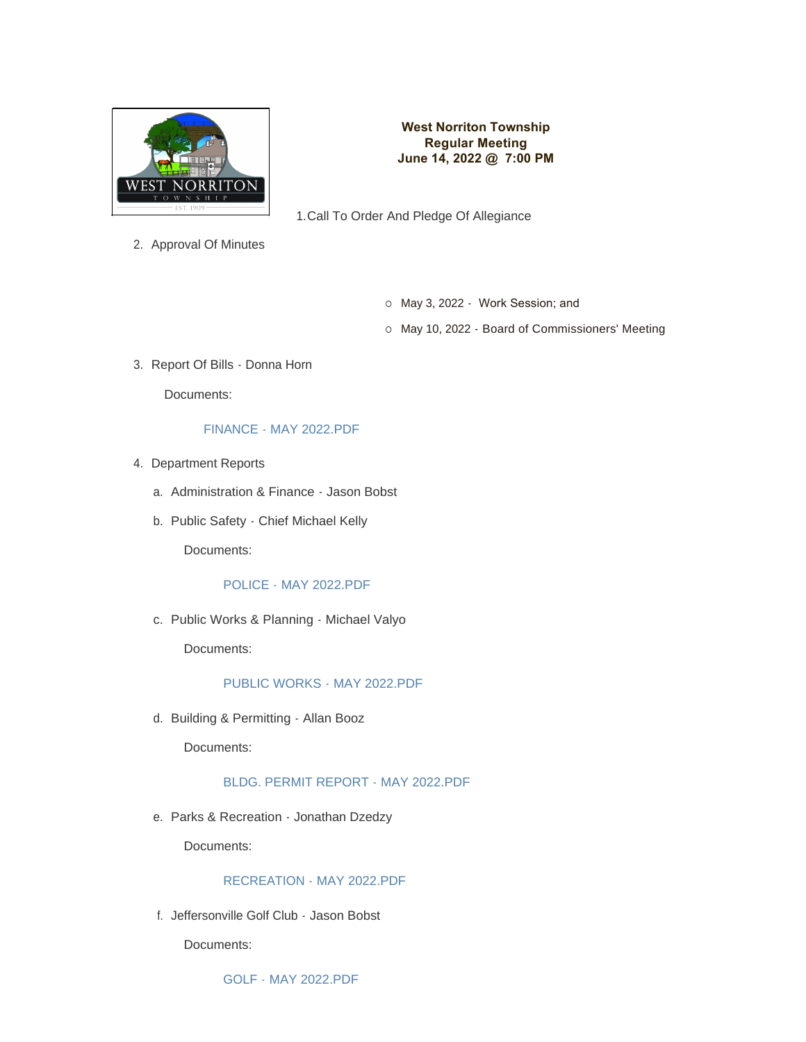

## **West Norriton Township Regular Meeting June 14, 2022 @ 7:00 PM**

1. Call To Order And Pledge Of Allegiance

2. Approval Of Minutes

- o May 3, 2022 Work Session; and
- o May 10, 2022 Board of Commissioners' Meeting
- 3. Report Of Bills Donna Horn

Documents:

#### [FINANCE - MAY 2022.PDF](https://www.westnorritontwp.org/AgendaCenter/ViewFile/Item/2387?fileID=1392)

- 4. Department Reports
	- a. Administration & Finance Jason Bobst
	- b. Public Safety Chief Michael Kelly

Documents:

#### [POLICE - MAY 2022.PDF](https://www.westnorritontwp.org/AgendaCenter/ViewFile/Item/2376?fileID=1381)

c. Public Works & Planning - Michael Valyo

Documents:

## [PUBLIC WORKS - MAY 2022.PDF](https://www.westnorritontwp.org/AgendaCenter/ViewFile/Item/2375?fileID=1380)

d. Building & Permitting - Allan Booz

Documents:

## [BLDG. PERMIT REPORT - MAY 2022.PDF](https://www.westnorritontwp.org/AgendaCenter/ViewFile/Item/2377?fileID=1382)

e. Parks & Recreation - Jonathan Dzedzy

Documents:

#### [RECREATION - MAY 2022.PDF](https://www.westnorritontwp.org/AgendaCenter/ViewFile/Item/2378?fileID=1383)

Jeffersonville Golf Club - Jason Bobst f.

Documents:

[GOLF - MAY 2022.PDF](https://www.westnorritontwp.org/AgendaCenter/ViewFile/Item/2379?fileID=1384)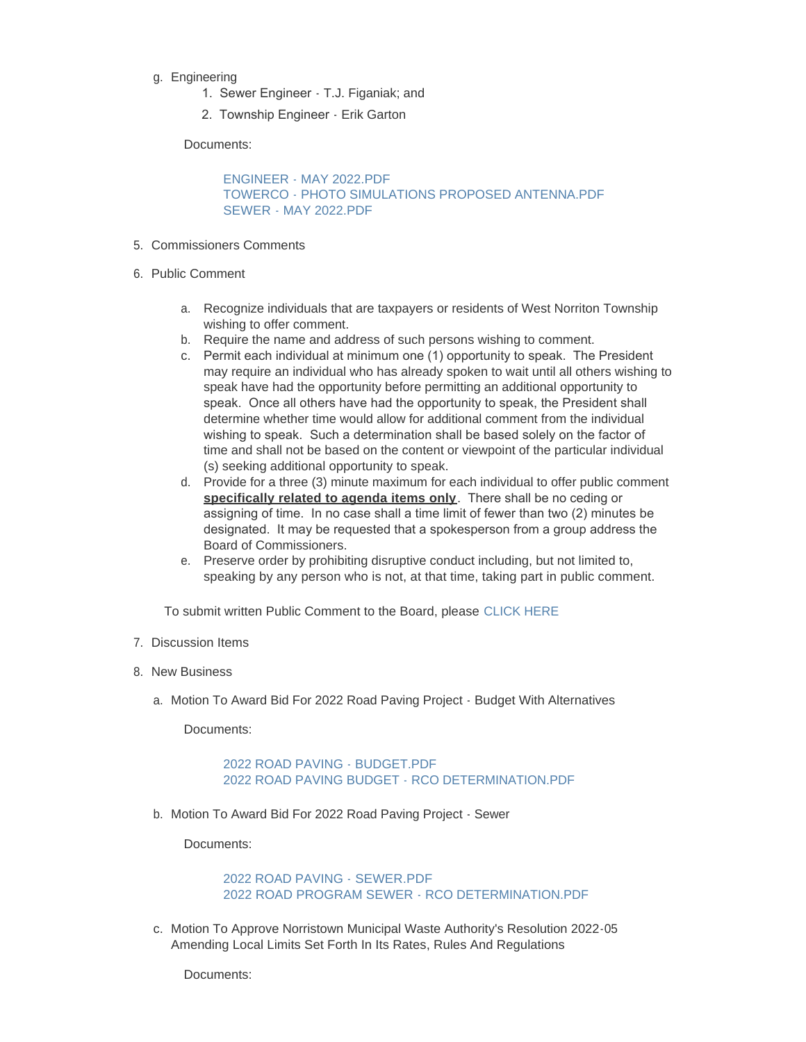- g. Engineering
	- 1. Sewer Engineer T.J. Figaniak; and
	- 2. Township Engineer Erik Garton

Documents:

[ENGINEER - MAY 2022.PDF](https://www.westnorritontwp.org/AgendaCenter/ViewFile/Item/2380?fileID=1385) [TOWERCO - PHOTO SIMULATIONS PROPOSED ANTENNA.PDF](https://www.westnorritontwp.org/AgendaCenter/ViewFile/Item/2380?fileID=1393) [SEWER - MAY 2022.PDF](https://www.westnorritontwp.org/AgendaCenter/ViewFile/Item/2380?fileID=1394)

- 5. Commissioners Comments
- 6. Public Comment
	- a. Recognize individuals that are taxpayers or residents of West Norriton Township wishing to offer comment.
	- b. Require the name and address of such persons wishing to comment.
	- c. Permit each individual at minimum one (1) opportunity to speak. The President may require an individual who has already spoken to wait until all others wishing to speak have had the opportunity before permitting an additional opportunity to speak. Once all others have had the opportunity to speak, the President shall determine whether time would allow for additional comment from the individual wishing to speak. Such a determination shall be based solely on the factor of time and shall not be based on the content or viewpoint of the particular individual (s) seeking additional opportunity to speak.
	- d. Provide for a three (3) minute maximum for each individual to offer public comment **specifically related to agenda items only**. There shall be no ceding or assigning of time. In no case shall a time limit of fewer than two (2) minutes be designated. It may be requested that a spokesperson from a group address the Board of Commissioners.
	- e. Preserve order by prohibiting disruptive conduct including, but not limited to, speaking by any person who is not, at that time, taking part in public comment.

To submit written Public Comment to the Board, please [CLICK HERE](https://www.westnorritontwp.org/FormCenter/Township-Community-Forms-9/Public-Comment-Submission-58)

- 7. Discussion Items
- 8. New Business
	- a. Motion To Award Bid For 2022 Road Paving Project Budget With Alternatives

Documents:

[2022 ROAD PAVING - BUDGET.PDF](https://www.westnorritontwp.org/AgendaCenter/ViewFile/Item/2384?fileID=1389) [2022 ROAD PAVING BUDGET - RCO DETERMINATION.PDF](https://www.westnorritontwp.org/AgendaCenter/ViewFile/Item/2384?fileID=1395)

b. Motion To Award Bid For 2022 Road Paving Project - Sewer

Documents:

[2022 ROAD PAVING - SEWER.PDF](https://www.westnorritontwp.org/AgendaCenter/ViewFile/Item/2385?fileID=1390) [2022 ROAD PROGRAM SEWER - RCO DETERMINATION.PDF](https://www.westnorritontwp.org/AgendaCenter/ViewFile/Item/2385?fileID=1396)

c. Motion To Approve Norristown Municipal Waste Authority's Resolution 2022-05 Amending Local Limits Set Forth In Its Rates, Rules And Regulations

Documents: